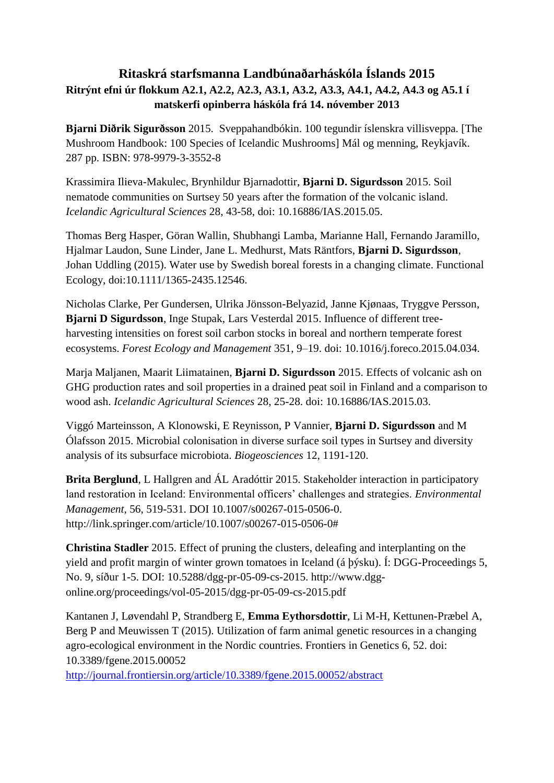## **Ritaskrá starfsmanna Landbúnaðarháskóla Íslands 2015 Ritrýnt efni úr flokkum A2.1, A2.2, A2.3, A3.1, A3.2, A3.3, A4.1, A4.2, A4.3 og A5.1 í matskerfi opinberra háskóla frá 14. nóvember 2013**

**Bjarni Diðrik Sigurðsson** 2015. Sveppahandbókin. 100 tegundir íslenskra villisveppa. [The Mushroom Handbook: 100 Species of Icelandic Mushrooms] Mál og menning, Reykjavík. 287 pp. ISBN: 978-9979-3-3552-8

Krassimira Ilieva-Makulec, Brynhildur Bjarnadottir, **Bjarni D. Sigurdsson** 2015. Soil nematode communities on Surtsey 50 years after the formation of the volcanic island. *Icelandic Agricultural Sciences* 28, 43-58, doi: 10.16886/IAS.2015.05.

Thomas Berg Hasper, Göran Wallin, Shubhangi Lamba, Marianne Hall, Fernando Jaramillo, Hjalmar Laudon, Sune Linder, Jane L. Medhurst, Mats Räntfors, **Bjarni D. Sigurdsson**, Johan Uddling (2015). Water use by Swedish boreal forests in a changing climate. Functional Ecology, doi:10.1111/1365-2435.12546.

Nicholas Clarke, Per Gundersen, Ulrika Jönsson-Belyazid, Janne Kjønaas, Tryggve Persson, **Bjarni D Sigurdsson**, Inge Stupak, Lars Vesterdal 2015. Influence of different treeharvesting intensities on forest soil carbon stocks in boreal and northern temperate forest ecosystems. *Forest Ecology and Management* 351, 9–19. doi: 10.1016/j.foreco.2015.04.034.

Marja Maljanen, Maarit Liimatainen, **Bjarni D. Sigurdsson** 2015. Effects of volcanic ash on GHG production rates and soil properties in a drained peat soil in Finland and a comparison to wood ash. *Icelandic Agricultural Sciences* 28, 25-28. doi: 10.16886/IAS.2015.03.

Viggó Marteinsson, A Klonowski, E Reynisson, P Vannier, **Bjarni D. Sigurdsson** and M Ólafsson 2015. Microbial colonisation in diverse surface soil types in Surtsey and diversity analysis of its subsurface microbiota. *Biogeosciences* 12, 1191-120.

**Brita Berglund**, L Hallgren and ÁL Aradóttir 2015. Stakeholder interaction in participatory land restoration in Iceland: Environmental officers' challenges and strategies. *Environmental Management*, 56, 519-531. DOI 10.1007/s00267-015-0506-0. http://link.springer.com/article/10.1007/s00267-015-0506-0#

**Christina Stadler** 2015. Effect of pruning the clusters, deleafing and interplanting on the yield and profit margin of winter grown tomatoes in Iceland (á þýsku). Í: DGG-Proceedings 5, No. 9, síður 1-5. DOI: 10.5288/dgg-pr-05-09-cs-2015. http://www.dggonline.org/proceedings/vol-05-2015/dgg-pr-05-09-cs-2015.pdf

Kantanen J, Løvendahl P, Strandberg E, **Emma Eythorsdottir**, Li M-H, Kettunen-Præbel A, Berg P and Meuwissen T (2015). Utilization of farm animal genetic resources in a changing agro-ecological environment in the Nordic countries. Frontiers in Genetics 6, 52. doi: 10.3389/fgene.2015.00052

<http://journal.frontiersin.org/article/10.3389/fgene.2015.00052/abstract>